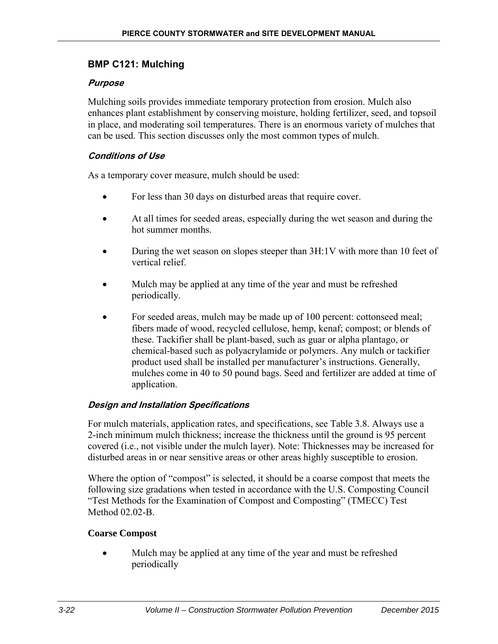# **BMP C121: Mulching**

## **Purpose**

Mulching soils provides immediate temporary protection from erosion. Mulch also enhances plant establishment by conserving moisture, holding fertilizer, seed, and topsoil in place, and moderating soil temperatures. There is an enormous variety of mulches that can be used. This section discusses only the most common types of mulch.

## **Conditions of Use**

As a temporary cover measure, mulch should be used:

- For less than 30 days on disturbed areas that require cover.
- At all times for seeded areas, especially during the wet season and during the hot summer months.
- During the wet season on slopes steeper than 3H:1V with more than 10 feet of vertical relief.
- Mulch may be applied at any time of the year and must be refreshed periodically.
- For seeded areas, mulch may be made up of 100 percent: cottonseed meal; fibers made of wood, recycled cellulose, hemp, kenaf; compost; or blends of these. Tackifier shall be plant-based, such as guar or alpha plantago, or chemical-based such as polyacrylamide or polymers. Any mulch or tackifier product used shall be installed per manufacturer's instructions. Generally, mulches come in 40 to 50 pound bags. Seed and fertilizer are added at time of application.

# **Design and Installation Specifications**

For mulch materials, application rates, and specifications, see Table 3.8. Always use a 2-inch minimum mulch thickness; increase the thickness until the ground is 95 percent covered (i.e., not visible under the mulch layer). Note: Thicknesses may be increased for disturbed areas in or near sensitive areas or other areas highly susceptible to erosion.

Where the option of "compost" is selected, it should be a coarse compost that meets the following size gradations when tested in accordance with the U.S. Composting Council "Test Methods for the Examination of Compost and Composting" (TMECC) Test Method  $02.02 - B$ 

#### **Coarse Compost**

• Mulch may be applied at any time of the year and must be refreshed periodically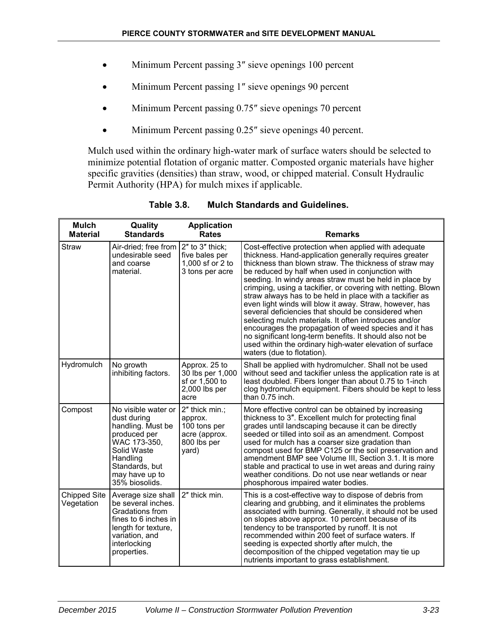- Minimum Percent passing 3" sieve openings 100 percent
- Minimum Percent passing 1" sieve openings 90 percent
- Minimum Percent passing 0.75" sieve openings 70 percent
- Minimum Percent passing 0.25" sieve openings 40 percent.

Mulch used within the ordinary high-water mark of surface waters should be selected to minimize potential flotation of organic matter. Composted organic materials have higher specific gravities (densities) than straw, wood, or chipped material. Consult Hydraulic Permit Authority (HPA) for mulch mixes if applicable.

| <b>Mulch</b><br><b>Material</b>   | Quality<br><b>Standards</b>                                                                                                                                              | <b>Application</b><br><b>Rates</b>                                                 | <b>Remarks</b>                                                                                                                                                                                                                                                                                                                                                                                                                                                                                                                                                                                                                                                                                                                                                                                               |
|-----------------------------------|--------------------------------------------------------------------------------------------------------------------------------------------------------------------------|------------------------------------------------------------------------------------|--------------------------------------------------------------------------------------------------------------------------------------------------------------------------------------------------------------------------------------------------------------------------------------------------------------------------------------------------------------------------------------------------------------------------------------------------------------------------------------------------------------------------------------------------------------------------------------------------------------------------------------------------------------------------------------------------------------------------------------------------------------------------------------------------------------|
| <b>Straw</b>                      | Air-dried; free from<br>undesirable seed<br>and coarse<br>material.                                                                                                      | 2" to 3" thick;<br>five bales per<br>1,000 sf or 2 to<br>3 tons per acre           | Cost-effective protection when applied with adequate<br>thickness. Hand-application generally requires greater<br>thickness than blown straw. The thickness of straw may<br>be reduced by half when used in conjunction with<br>seeding. In windy areas straw must be held in place by<br>crimping, using a tackifier, or covering with netting. Blown<br>straw always has to be held in place with a tackifier as<br>even light winds will blow it away. Straw, however, has<br>several deficiencies that should be considered when<br>selecting mulch materials. It often introduces and/or<br>encourages the propagation of weed species and it has<br>no significant long-term benefits. It should also not be<br>used within the ordinary high-water elevation of surface<br>waters (due to flotation). |
| Hydromulch                        | No growth<br>inhibiting factors.                                                                                                                                         | Approx. 25 to<br>30 lbs per 1,000<br>sf or 1,500 to<br>2,000 lbs per<br>acre       | Shall be applied with hydromulcher. Shall not be used<br>without seed and tackifier unless the application rate is at<br>least doubled. Fibers longer than about 0.75 to 1-inch<br>clog hydromulch equipment. Fibers should be kept to less<br>than 0.75 inch.                                                                                                                                                                                                                                                                                                                                                                                                                                                                                                                                               |
| Compost                           | No visible water or<br>dust during<br>handling. Must be<br>produced per<br>WAC 173-350,<br>Solid Waste<br>Handling<br>Standards, but<br>may have up to<br>35% biosolids. | 2" thick min.;<br>approx.<br>100 tons per<br>acre (approx.<br>800 lbs per<br>yard) | More effective control can be obtained by increasing<br>thickness to 3". Excellent mulch for protecting final<br>grades until landscaping because it can be directly<br>seeded or tilled into soil as an amendment. Compost<br>used for mulch has a coarser size gradation than<br>compost used for BMP C125 or the soil preservation and<br>amendment BMP see Volume III, Section 3.1. It is more<br>stable and practical to use in wet areas and during rainy<br>weather conditions. Do not use near wetlands or near<br>phosphorous impaired water bodies.                                                                                                                                                                                                                                                |
| <b>Chipped Site</b><br>Vegetation | Average size shall<br>be several inches.<br>Gradations from<br>fines to 6 inches in<br>length for texture,<br>variation, and<br>interlocking<br>properties.              | 2" thick min.                                                                      | This is a cost-effective way to dispose of debris from<br>clearing and grubbing, and it eliminates the problems<br>associated with burning. Generally, it should not be used<br>on slopes above approx. 10 percent because of its<br>tendency to be transported by runoff. It is not<br>recommended within 200 feet of surface waters. If<br>seeding is expected shortly after mulch, the<br>decomposition of the chipped vegetation may tie up<br>nutrients important to grass establishment.                                                                                                                                                                                                                                                                                                               |

**Table 3.8. Mulch Standards and Guidelines.**